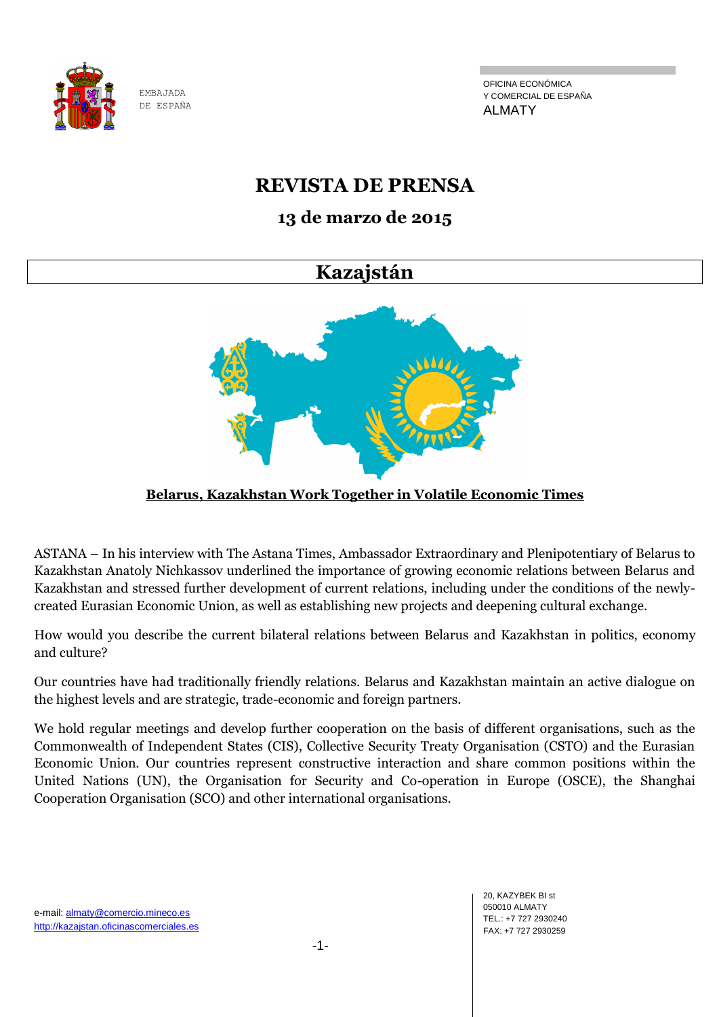

OFICINA ECONÓMICA Y COMERCIAL DE ESPAÑA ALMATY

## **REVISTA DE PRENSA**

## **13 de marzo de 2015**

## **Kazajstán**



## **Belarus, Kazakhstan Work Together in Volatile Economic Times**

ASTANA – In his interview with The Astana Times, Ambassador Extraordinary and Plenipotentiary of Belarus to Kazakhstan Anatoly Nichkassov underlined the importance of growing economic relations between Belarus and Kazakhstan and stressed further development of current relations, including under the conditions of the newlycreated Eurasian Economic Union, as well as establishing new projects and deepening cultural exchange.

How would you describe the current bilateral relations between Belarus and Kazakhstan in politics, economy and culture?

Our countries have had traditionally friendly relations. Belarus and Kazakhstan maintain an active dialogue on the highest levels and are strategic, trade-economic and foreign partners.

We hold regular meetings and develop further cooperation on the basis of different organisations, such as the Commonwealth of Independent States (CIS), Collective Security Treaty Organisation (CSTO) and the Eurasian Economic Union. Our countries represent constructive interaction and share common positions within the United Nations (UN), the Organisation for Security and Co-operation in Europe (OSCE), the Shanghai Cooperation Organisation (SCO) and other international organisations.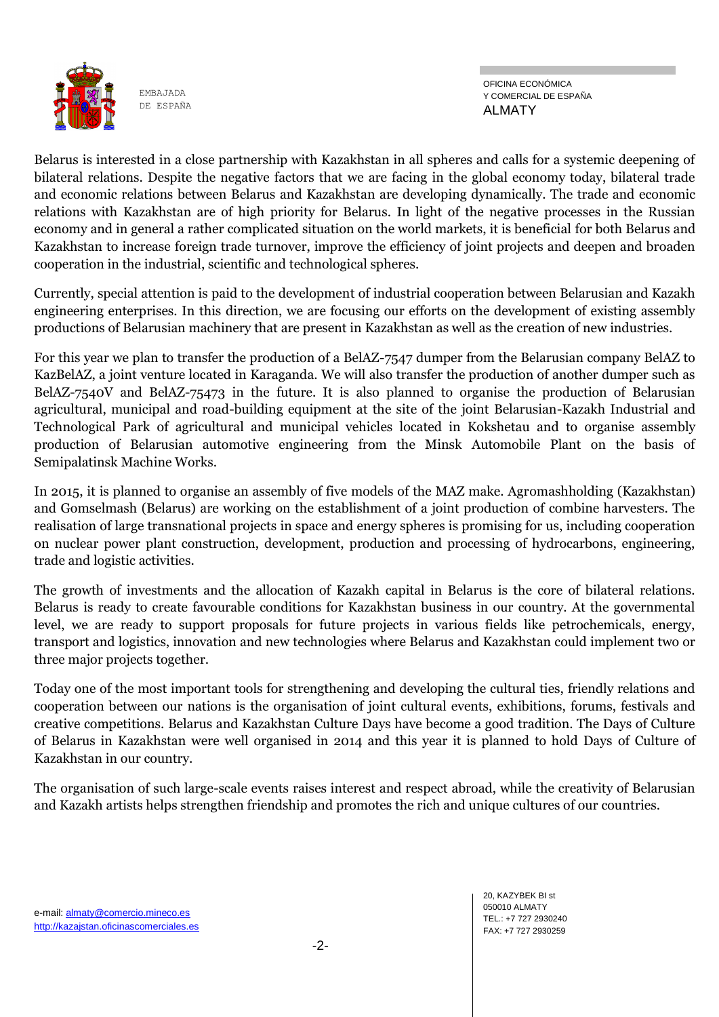

OFICINA ECONÓMICA Y COMERCIAL DE ESPAÑA ALMATY

Belarus is interested in a close partnership with Kazakhstan in all spheres and calls for a systemic deepening of bilateral relations. Despite the negative factors that we are facing in the global economy today, bilateral trade and economic relations between Belarus and Kazakhstan are developing dynamically. The trade and economic relations with Kazakhstan are of high priority for Belarus. In light of the negative processes in the Russian economy and in general a rather complicated situation on the world markets, it is beneficial for both Belarus and Kazakhstan to increase foreign trade turnover, improve the efficiency of joint projects and deepen and broaden cooperation in the industrial, scientific and technological spheres.

Currently, special attention is paid to the development of industrial cooperation between Belarusian and Kazakh engineering enterprises. In this direction, we are focusing our efforts on the development of existing assembly productions of Belarusian machinery that are present in Kazakhstan as well as the creation of new industries.

For this year we plan to transfer the production of a BelAZ-7547 dumper from the Belarusian company BelAZ to KazBelAZ, a joint venture located in Karaganda. We will also transfer the production of another dumper such as BelAZ-7540V and BelAZ-75473 in the future. It is also planned to organise the production of Belarusian agricultural, municipal and road-building equipment at the site of the joint Belarusian-Kazakh Industrial and Technological Park of agricultural and municipal vehicles located in Kokshetau and to organise assembly production of Belarusian automotive engineering from the Minsk Automobile Plant on the basis of Semipalatinsk Machine Works.

In 2015, it is planned to organise an assembly of five models of the MAZ make. Agromashholding (Kazakhstan) and Gomselmash (Belarus) are working on the establishment of a joint production of combine harvesters. The realisation of large transnational projects in space and energy spheres is promising for us, including cooperation on nuclear power plant construction, development, production and processing of hydrocarbons, engineering, trade and logistic activities.

The growth of investments and the allocation of Kazakh capital in Belarus is the core of bilateral relations. Belarus is ready to create favourable conditions for Kazakhstan business in our country. At the governmental level, we are ready to support proposals for future projects in various fields like petrochemicals, energy, transport and logistics, innovation and new technologies where Belarus and Kazakhstan could implement two or three major projects together.

Today one of the most important tools for strengthening and developing the cultural ties, friendly relations and cooperation between our nations is the organisation of joint cultural events, exhibitions, forums, festivals and creative competitions. Belarus and Kazakhstan Culture Days have become a good tradition. The Days of Culture of Belarus in Kazakhstan were well organised in 2014 and this year it is planned to hold Days of Culture of Kazakhstan in our country.

The organisation of such large-scale events raises interest and respect abroad, while the creativity of Belarusian and Kazakh artists helps strengthen friendship and promotes the rich and unique cultures of our countries.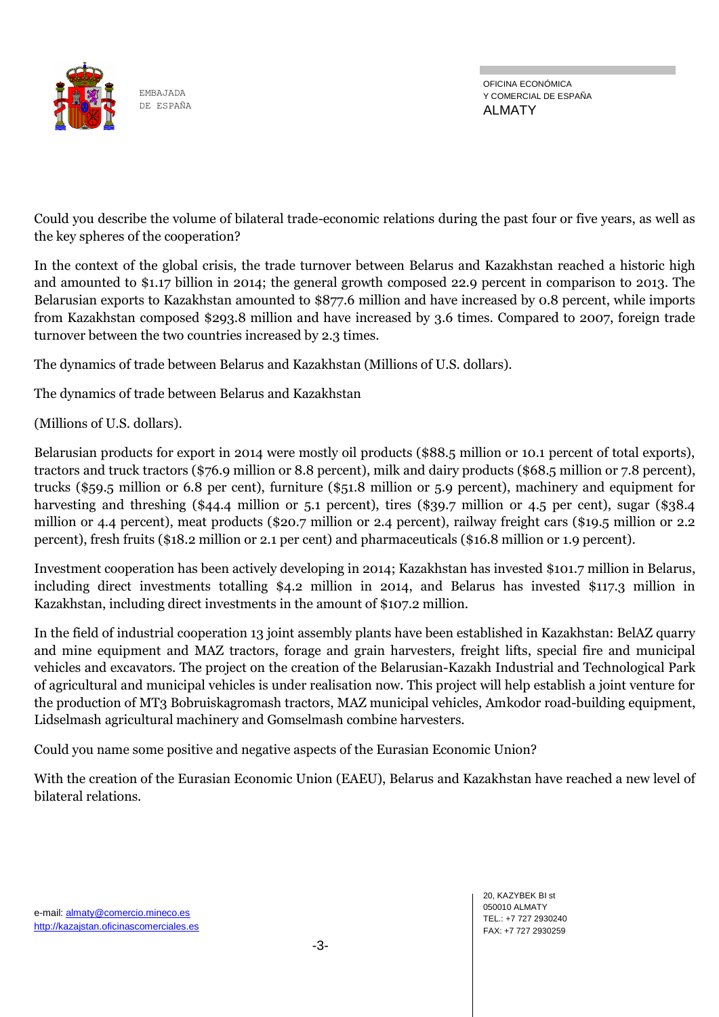

OFICINA ECONÓMICA Y COMERCIAL DE ESPAÑA ALMATY

Could you describe the volume of bilateral trade-economic relations during the past four or five years, as well as the key spheres of the cooperation?

In the context of the global crisis, the trade turnover between Belarus and Kazakhstan reached a historic high and amounted to \$1.17 billion in 2014; the general growth composed 22.9 percent in comparison to 2013. The Belarusian exports to Kazakhstan amounted to \$877.6 million and have increased by 0.8 percent, while imports from Kazakhstan composed \$293.8 million and have increased by 3.6 times. Compared to 2007, foreign trade turnover between the two countries increased by 2.3 times.

The dynamics of trade between Belarus and Kazakhstan (Millions of U.S. dollars).

The dynamics of trade between Belarus and Kazakhstan

(Millions of U.S. dollars).

Belarusian products for export in 2014 were mostly oil products (\$88.5 million or 10.1 percent of total exports), tractors and truck tractors (\$76.9 million or 8.8 percent), milk and dairy products (\$68.5 million or 7.8 percent), trucks (\$59.5 million or 6.8 per cent), furniture (\$51.8 million or 5.9 percent), machinery and equipment for harvesting and threshing (\$44.4 million or 5.1 percent), tires (\$39.7 million or 4.5 per cent), sugar (\$38.4 million or 4.4 percent), meat products (\$20.7 million or 2.4 percent), railway freight cars (\$19.5 million or 2.2 percent), fresh fruits (\$18.2 million or 2.1 per cent) and pharmaceuticals (\$16.8 million or 1.9 percent).

Investment cooperation has been actively developing in 2014; Kazakhstan has invested \$101.7 million in Belarus, including direct investments totalling \$4.2 million in 2014, and Belarus has invested \$117.3 million in Kazakhstan, including direct investments in the amount of \$107.2 million.

In the field of industrial cooperation 13 joint assembly plants have been established in Kazakhstan: BelAZ quarry and mine equipment and MAZ tractors, forage and grain harvesters, freight lifts, special fire and municipal vehicles and excavators. The project on the creation of the Belarusian-Kazakh Industrial and Technological Park of agricultural and municipal vehicles is under realisation now. This project will help establish a joint venture for the production of MT3 Bobruiskagromash tractors, MAZ municipal vehicles, Amkodor road-building equipment, Lidselmash agricultural machinery and Gomselmash combine harvesters.

Could you name some positive and negative aspects of the Eurasian Economic Union?

With the creation of the Eurasian Economic Union (EAEU), Belarus and Kazakhstan have reached a new level of bilateral relations.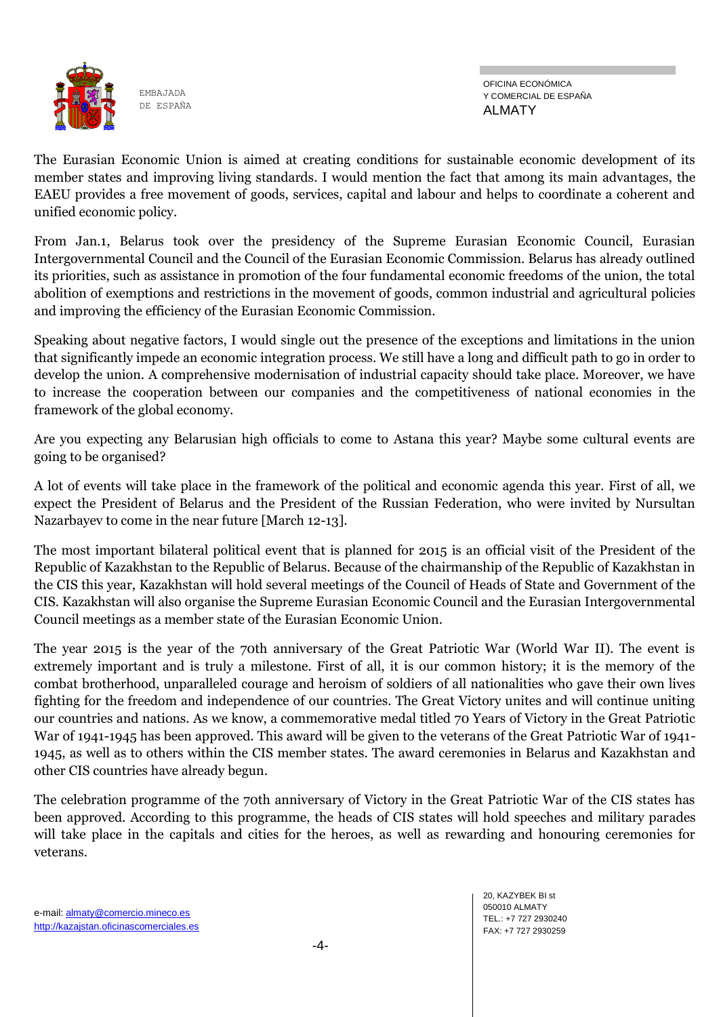

The Eurasian Economic Union is aimed at creating conditions for sustainable economic development of its member states and improving living standards. I would mention the fact that among its main advantages, the EAEU provides a free movement of goods, services, capital and labour and helps to coordinate a coherent and unified economic policy.

From Jan.1, Belarus took over the presidency of the Supreme Eurasian Economic Council, Eurasian Intergovernmental Council and the Council of the Eurasian Economic Commission. Belarus has already outlined its priorities, such as assistance in promotion of the four fundamental economic freedoms of the union, the total abolition of exemptions and restrictions in the movement of goods, common industrial and agricultural policies and improving the efficiency of the Eurasian Economic Commission.

Speaking about negative factors, I would single out the presence of the exceptions and limitations in the union that significantly impede an economic integration process. We still have a long and difficult path to go in order to develop the union. A comprehensive modernisation of industrial capacity should take place. Moreover, we have to increase the cooperation between our companies and the competitiveness of national economies in the framework of the global economy.

Are you expecting any Belarusian high officials to come to Astana this year? Maybe some cultural events are going to be organised?

A lot of events will take place in the framework of the political and economic agenda this year. First of all, we expect the President of Belarus and the President of the Russian Federation, who were invited by Nursultan Nazarbayev to come in the near future [March 12-13].

The most important bilateral political event that is planned for 2015 is an official visit of the President of the Republic of Kazakhstan to the Republic of Belarus. Because of the chairmanship of the Republic of Kazakhstan in the CIS this year, Kazakhstan will hold several meetings of the Council of Heads of State and Government of the CIS. Kazakhstan will also organise the Supreme Eurasian Economic Council and the Eurasian Intergovernmental Council meetings as a member state of the Eurasian Economic Union.

The year 2015 is the year of the 70th anniversary of the Great Patriotic War (World War II). The event is extremely important and is truly a milestone. First of all, it is our common history; it is the memory of the combat brotherhood, unparalleled courage and heroism of soldiers of all nationalities who gave their own lives fighting for the freedom and independence of our countries. The Great Victory unites and will continue uniting our countries and nations. As we know, a commemorative medal titled 70 Years of Victory in the Great Patriotic War of 1941-1945 has been approved. This award will be given to the veterans of the Great Patriotic War of 1941- 1945, as well as to others within the CIS member states. The award ceremonies in Belarus and Kazakhstan and other CIS countries have already begun.

The celebration programme of the 70th anniversary of Victory in the Great Patriotic War of the CIS states has been approved. According to this programme, the heads of CIS states will hold speeches and military parades will take place in the capitals and cities for the heroes, as well as rewarding and honouring ceremonies for veterans.

20, KAZYBEK BI st 050010 ALMATY TEL.: +7 727 2930240 FAX: +7 727 2930259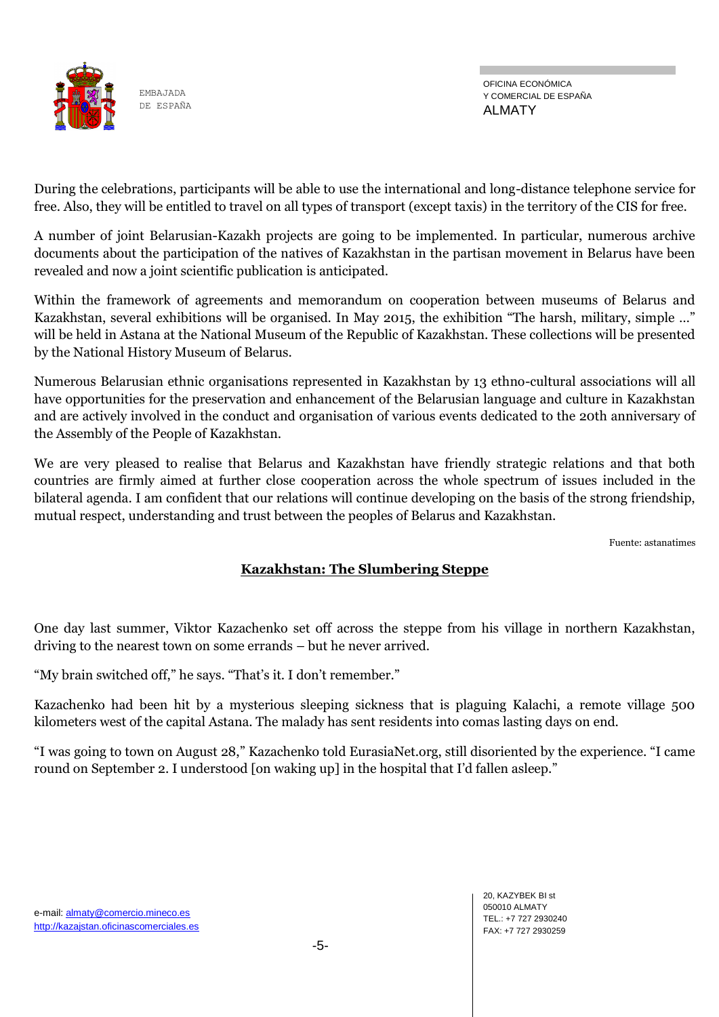

During the celebrations, participants will be able to use the international and long-distance telephone service for free. Also, they will be entitled to travel on all types of transport (except taxis) in the territory of the CIS for free.

A number of joint Belarusian-Kazakh projects are going to be implemented. In particular, numerous archive documents about the participation of the natives of Kazakhstan in the partisan movement in Belarus have been revealed and now a joint scientific publication is anticipated.

Within the framework of agreements and memorandum on cooperation between museums of Belarus and Kazakhstan, several exhibitions will be organised. In May 2015, the exhibition "The harsh, military, simple …" will be held in Astana at the National Museum of the Republic of Kazakhstan. These collections will be presented by the National History Museum of Belarus.

Numerous Belarusian ethnic organisations represented in Kazakhstan by 13 ethno-cultural associations will all have opportunities for the preservation and enhancement of the Belarusian language and culture in Kazakhstan and are actively involved in the conduct and organisation of various events dedicated to the 20th anniversary of the Assembly of the People of Kazakhstan.

We are very pleased to realise that Belarus and Kazakhstan have friendly strategic relations and that both countries are firmly aimed at further close cooperation across the whole spectrum of issues included in the bilateral agenda. I am confident that our relations will continue developing on the basis of the strong friendship, mutual respect, understanding and trust between the peoples of Belarus and Kazakhstan.

Fuente: astanatimes

### **Kazakhstan: The Slumbering Steppe**

One day last summer, Viktor Kazachenko set off across the steppe from his village in northern Kazakhstan, driving to the nearest town on some errands – but he never arrived.

"My brain switched off," he says. "That's it. I don't remember."

Kazachenko had been hit by a mysterious sleeping sickness that is plaguing Kalachi, a remote village 500 kilometers west of the capital Astana. The malady has sent residents into comas lasting days on end.

"I was going to town on August 28," Kazachenko told EurasiaNet.org, still disoriented by the experience. "I came round on September 2. I understood [on waking up] in the hospital that I'd fallen asleep."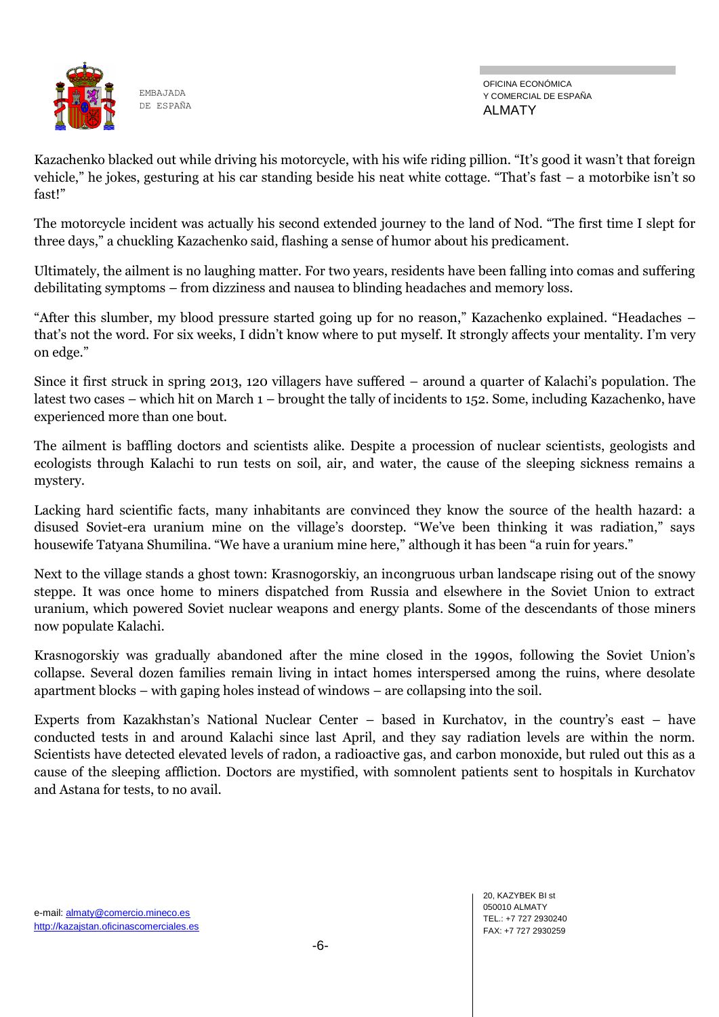

Kazachenko blacked out while driving his motorcycle, with his wife riding pillion. "It's good it wasn't that foreign vehicle," he jokes, gesturing at his car standing beside his neat white cottage. "That's fast – a motorbike isn't so fast!"

The motorcycle incident was actually his second extended journey to the land of Nod. "The first time I slept for three days," a chuckling Kazachenko said, flashing a sense of humor about his predicament.

Ultimately, the ailment is no laughing matter. For two years, residents have been falling into comas and suffering debilitating symptoms – from dizziness and nausea to blinding headaches and memory loss.

"After this slumber, my blood pressure started going up for no reason," Kazachenko explained. "Headaches – that's not the word. For six weeks, I didn't know where to put myself. It strongly affects your mentality. I'm very on edge."

Since it first struck in spring 2013, 120 villagers have suffered – around a quarter of Kalachi's population. The latest two cases – which hit on March 1 – brought the tally of incidents to 152. Some, including Kazachenko, have experienced more than one bout.

The ailment is baffling doctors and scientists alike. Despite a procession of nuclear scientists, geologists and ecologists through Kalachi to run tests on soil, air, and water, the cause of the sleeping sickness remains a mystery.

Lacking hard scientific facts, many inhabitants are convinced they know the source of the health hazard: a disused Soviet-era uranium mine on the village's doorstep. "We've been thinking it was radiation," says housewife Tatyana Shumilina. "We have a uranium mine here," although it has been "a ruin for years."

Next to the village stands a ghost town: Krasnogorskiy, an incongruous urban landscape rising out of the snowy steppe. It was once home to miners dispatched from Russia and elsewhere in the Soviet Union to extract uranium, which powered Soviet nuclear weapons and energy plants. Some of the descendants of those miners now populate Kalachi.

Krasnogorskiy was gradually abandoned after the mine closed in the 1990s, following the Soviet Union's collapse. Several dozen families remain living in intact homes interspersed among the ruins, where desolate apartment blocks – with gaping holes instead of windows – are collapsing into the soil.

Experts from Kazakhstan's National Nuclear Center – based in Kurchatov, in the country's east – have conducted tests in and around Kalachi since last April, and they say radiation levels are within the norm. Scientists have detected elevated levels of radon, a radioactive gas, and carbon monoxide, but ruled out this as a cause of the sleeping affliction. Doctors are mystified, with somnolent patients sent to hospitals in Kurchatov and Astana for tests, to no avail.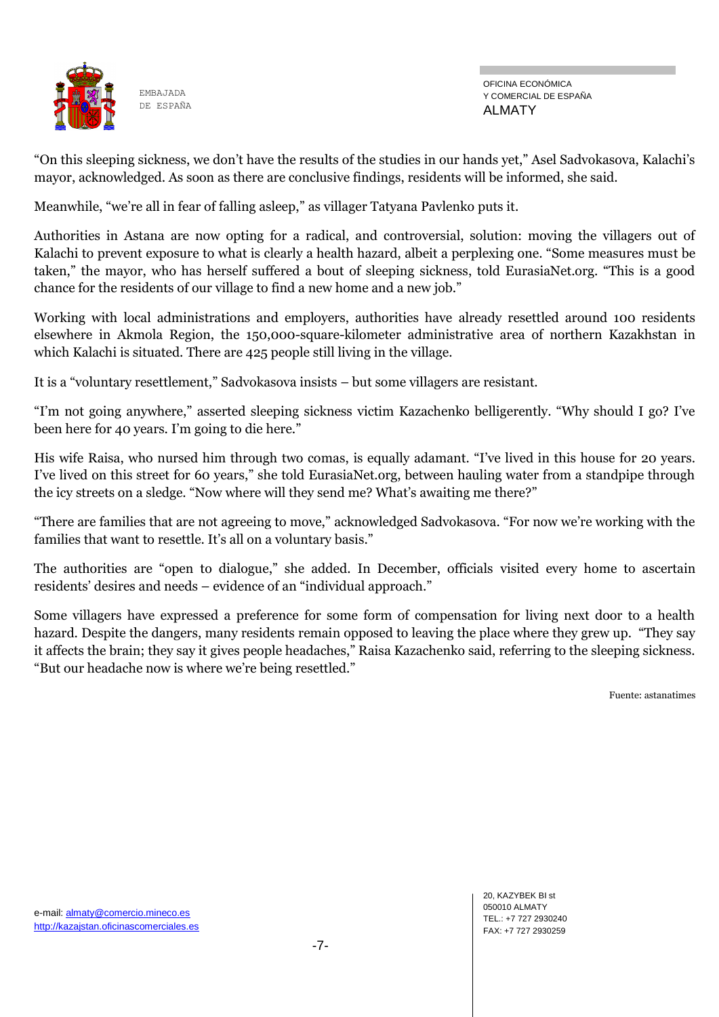

OFICINA ECONÓMICA Y COMERCIAL DE ESPAÑA ALMATY

"On this sleeping sickness, we don't have the results of the studies in our hands yet," Asel Sadvokasova, Kalachi's mayor, acknowledged. As soon as there are conclusive findings, residents will be informed, she said.

Meanwhile, "we're all in fear of falling asleep," as villager Tatyana Pavlenko puts it.

Authorities in Astana are now opting for a radical, and controversial, solution: moving the villagers out of Kalachi to prevent exposure to what is clearly a health hazard, albeit a perplexing one. "Some measures must be taken," the mayor, who has herself suffered a bout of sleeping sickness, told EurasiaNet.org. "This is a good chance for the residents of our village to find a new home and a new job."

Working with local administrations and employers, authorities have already resettled around 100 residents elsewhere in Akmola Region, the 150,000-square-kilometer administrative area of northern Kazakhstan in which Kalachi is situated. There are 425 people still living in the village.

It is a "voluntary resettlement," Sadvokasova insists – but some villagers are resistant.

"I'm not going anywhere," asserted sleeping sickness victim Kazachenko belligerently. "Why should I go? I've been here for 40 years. I'm going to die here."

His wife Raisa, who nursed him through two comas, is equally adamant. "I've lived in this house for 20 years. I've lived on this street for 60 years," she told EurasiaNet.org, between hauling water from a standpipe through the icy streets on a sledge. "Now where will they send me? What's awaiting me there?"

"There are families that are not agreeing to move," acknowledged Sadvokasova. "For now we're working with the families that want to resettle. It's all on a voluntary basis."

The authorities are "open to dialogue," she added. In December, officials visited every home to ascertain residents' desires and needs – evidence of an "individual approach."

Some villagers have expressed a preference for some form of compensation for living next door to a health hazard. Despite the dangers, many residents remain opposed to leaving the place where they grew up. "They say it affects the brain; they say it gives people headaches," Raisa Kazachenko said, referring to the sleeping sickness. "But our headache now is where we're being resettled."

Fuente: astanatimes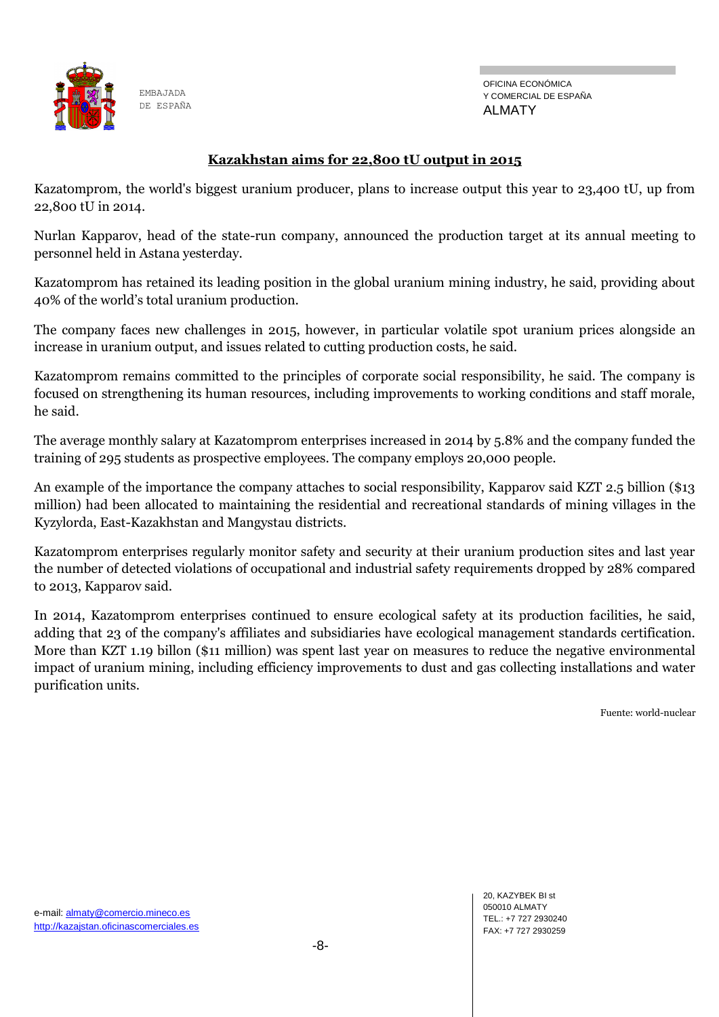

OFICINA ECONÓMICA Y COMERCIAL DE ESPAÑA ALMATY

#### **Kazakhstan aims for 22,800 tU output in 2015**

Kazatomprom, the world's biggest uranium producer, plans to increase output this year to 23,400 tU, up from 22,800 tU in 2014.

Nurlan Kapparov, head of the state-run company, announced the production target at its annual meeting to personnel held in Astana yesterday.

Kazatomprom has retained its leading position in the global uranium mining industry, he said, providing about 40% of the world's total uranium production.

The company faces new challenges in 2015, however, in particular volatile spot uranium prices alongside an increase in uranium output, and issues related to cutting production costs, he said.

Kazatomprom remains committed to the principles of corporate social responsibility, he said. The company is focused on strengthening its human resources, including improvements to working conditions and staff morale, he said.

The average monthly salary at Kazatomprom enterprises increased in 2014 by 5.8% and the company funded the training of 295 students as prospective employees. The company employs 20,000 people.

An example of the importance the company attaches to social responsibility, Kapparov said KZT 2.5 billion (\$13 million) had been allocated to maintaining the residential and recreational standards of mining villages in the Kyzylorda, East-Kazakhstan and Mangystau districts.

Kazatomprom enterprises regularly monitor safety and security at their uranium production sites and last year the number of detected violations of occupational and industrial safety requirements dropped by 28% compared to 2013, Kapparov said.

In 2014, Kazatomprom enterprises continued to ensure ecological safety at its production facilities, he said, adding that 23 of the company's affiliates and subsidiaries have ecological management standards certification. More than KZT 1.19 billon (\$11 million) was spent last year on measures to reduce the negative environmental impact of uranium mining, including efficiency improvements to dust and gas collecting installations and water purification units.

Fuente: world-nuclear

20, KAZYBEK BI st 050010 ALMATY TEL.: +7 727 2930240 FAX: +7 727 2930259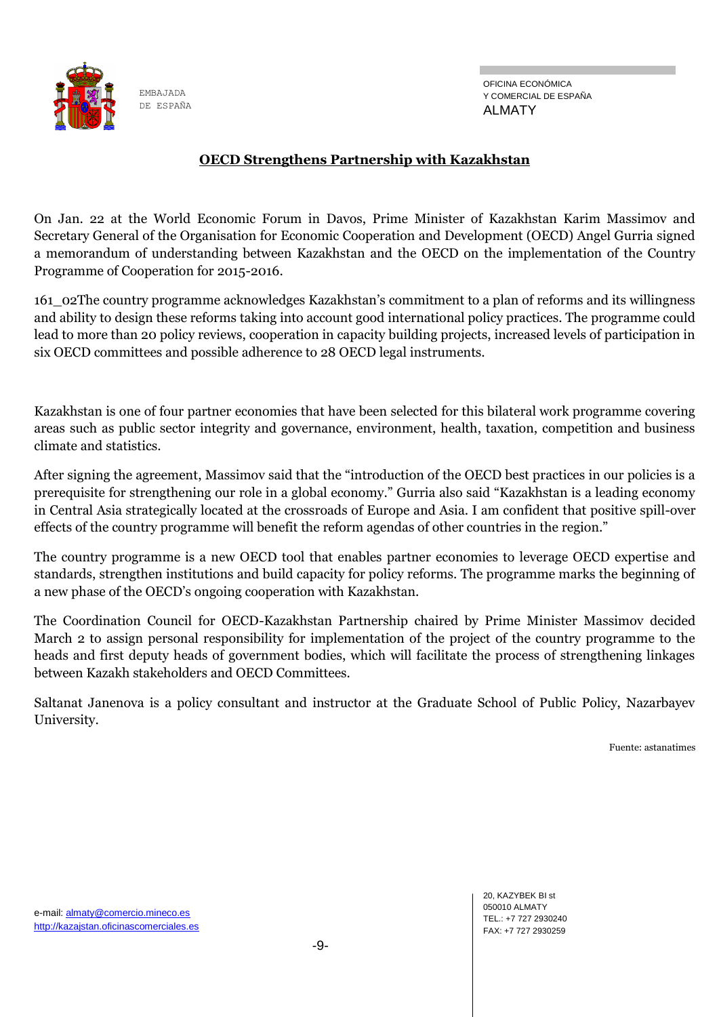![](_page_8_Picture_0.jpeg)

#### **OECD Strengthens Partnership with Kazakhstan**

On Jan. 22 at the World Economic Forum in Davos, Prime Minister of Kazakhstan Karim Massimov and Secretary General of the Organisation for Economic Cooperation and Development (OECD) Angel Gurria signed a memorandum of understanding between Kazakhstan and the OECD on the implementation of the Country Programme of Cooperation for 2015-2016.

161\_02The country programme acknowledges Kazakhstan's commitment to a plan of reforms and its willingness and ability to design these reforms taking into account good international policy practices. The programme could lead to more than 20 policy reviews, cooperation in capacity building projects, increased levels of participation in six OECD committees and possible adherence to 28 OECD legal instruments.

Kazakhstan is one of four partner economies that have been selected for this bilateral work programme covering areas such as public sector integrity and governance, environment, health, taxation, competition and business climate and statistics.

After signing the agreement, Massimov said that the "introduction of the OECD best practices in our policies is a prerequisite for strengthening our role in a global economy." Gurria also said "Kazakhstan is a leading economy in Central Asia strategically located at the crossroads of Europe and Asia. I am confident that positive spill-over effects of the country programme will benefit the reform agendas of other countries in the region."

The country programme is a new OECD tool that enables partner economies to leverage OECD expertise and standards, strengthen institutions and build capacity for policy reforms. The programme marks the beginning of a new phase of the OECD's ongoing cooperation with Kazakhstan.

The Coordination Council for OECD-Kazakhstan Partnership chaired by Prime Minister Massimov decided March 2 to assign personal responsibility for implementation of the project of the country programme to the heads and first deputy heads of government bodies, which will facilitate the process of strengthening linkages between Kazakh stakeholders and OECD Committees.

Saltanat Janenova is a policy consultant and instructor at the Graduate School of Public Policy, Nazarbayev University.

Fuente: astanatimes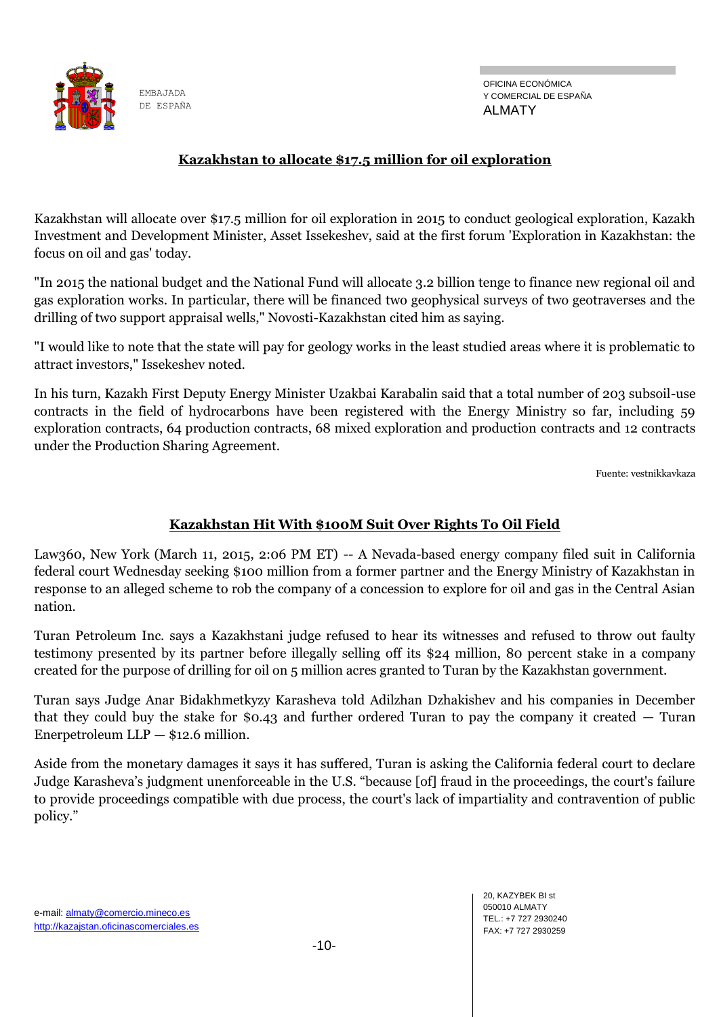![](_page_9_Picture_0.jpeg)

#### **Kazakhstan to allocate \$17.5 million for oil exploration**

Kazakhstan will allocate over \$17.5 million for oil exploration in 2015 to conduct geological exploration, Kazakh Investment and Development Minister, Asset Issekeshev, said at the first forum 'Exploration in Kazakhstan: the focus on oil and gas' today.

"In 2015 the national budget and the National Fund will allocate 3.2 billion tenge to finance new regional oil and gas exploration works. In particular, there will be financed two geophysical surveys of two geotraverses and the drilling of two support appraisal wells," Novosti-Kazakhstan cited him as saying.

"I would like to note that the state will pay for geology works in the least studied areas where it is problematic to attract investors," Issekeshev noted.

In his turn, Kazakh First Deputy Energy Minister Uzakbai Karabalin said that a total number of 203 subsoil-use contracts in the field of hydrocarbons have been registered with the Energy Ministry so far, including 59 exploration contracts, 64 production contracts, 68 mixed exploration and production contracts and 12 contracts under the Production Sharing Agreement.

Fuente: vestnikkavkaza

#### **Kazakhstan Hit With \$100M Suit Over Rights To Oil Field**

Law360, New York (March 11, 2015, 2:06 PM ET) -- A Nevada-based energy company filed suit in California federal court Wednesday seeking \$100 million from a former partner and the Energy Ministry of Kazakhstan in response to an alleged scheme to rob the company of a concession to explore for oil and gas in the Central Asian nation.

Turan Petroleum Inc. says a Kazakhstani judge refused to hear its witnesses and refused to throw out faulty testimony presented by its partner before illegally selling off its \$24 million, 80 percent stake in a company created for the purpose of drilling for oil on 5 million acres granted to Turan by the Kazakhstan government.

Turan says Judge Anar Bidakhmetkyzy Karasheva told Adilzhan Dzhakishev and his companies in December that they could buy the stake for \$0.43 and further ordered Turan to pay the company it created — Turan Enerpetroleum  $LLP - $12.6$  million.

Aside from the monetary damages it says it has suffered, Turan is asking the California federal court to declare Judge Karasheva's judgment unenforceable in the U.S. "because [of] fraud in the proceedings, the court's failure to provide proceedings compatible with due process, the court's lack of impartiality and contravention of public policy."

20, KAZYBEK BI st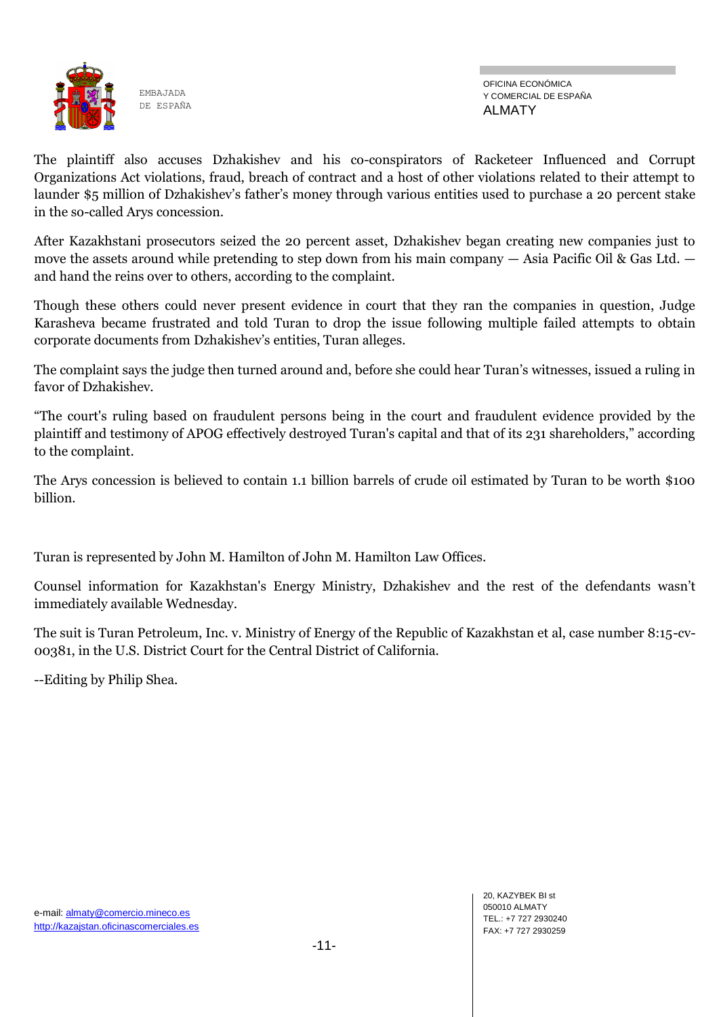![](_page_10_Picture_0.jpeg)

The plaintiff also accuses Dzhakishev and his co-conspirators of Racketeer Influenced and Corrupt Organizations Act violations, fraud, breach of contract and a host of other violations related to their attempt to launder \$5 million of Dzhakishev's father's money through various entities used to purchase a 20 percent stake in the so-called Arys concession.

After Kazakhstani prosecutors seized the 20 percent asset, Dzhakishev began creating new companies just to move the assets around while pretending to step down from his main company — Asia Pacific Oil & Gas Ltd. and hand the reins over to others, according to the complaint.

Though these others could never present evidence in court that they ran the companies in question, Judge Karasheva became frustrated and told Turan to drop the issue following multiple failed attempts to obtain corporate documents from Dzhakishev's entities, Turan alleges.

The complaint says the judge then turned around and, before she could hear Turan's witnesses, issued a ruling in favor of Dzhakishev.

"The court's ruling based on fraudulent persons being in the court and fraudulent evidence provided by the plaintiff and testimony of APOG effectively destroyed Turan's capital and that of its 231 shareholders," according to the complaint.

The Arys concession is believed to contain 1.1 billion barrels of crude oil estimated by Turan to be worth \$100 billion.

Turan is represented by John M. Hamilton of John M. Hamilton Law Offices.

Counsel information for Kazakhstan's Energy Ministry, Dzhakishev and the rest of the defendants wasn't immediately available Wednesday.

The suit is Turan Petroleum, Inc. v. Ministry of Energy of the Republic of Kazakhstan et al, case number 8:15-cv-00381, in the U.S. District Court for the Central District of California.

--Editing by Philip Shea.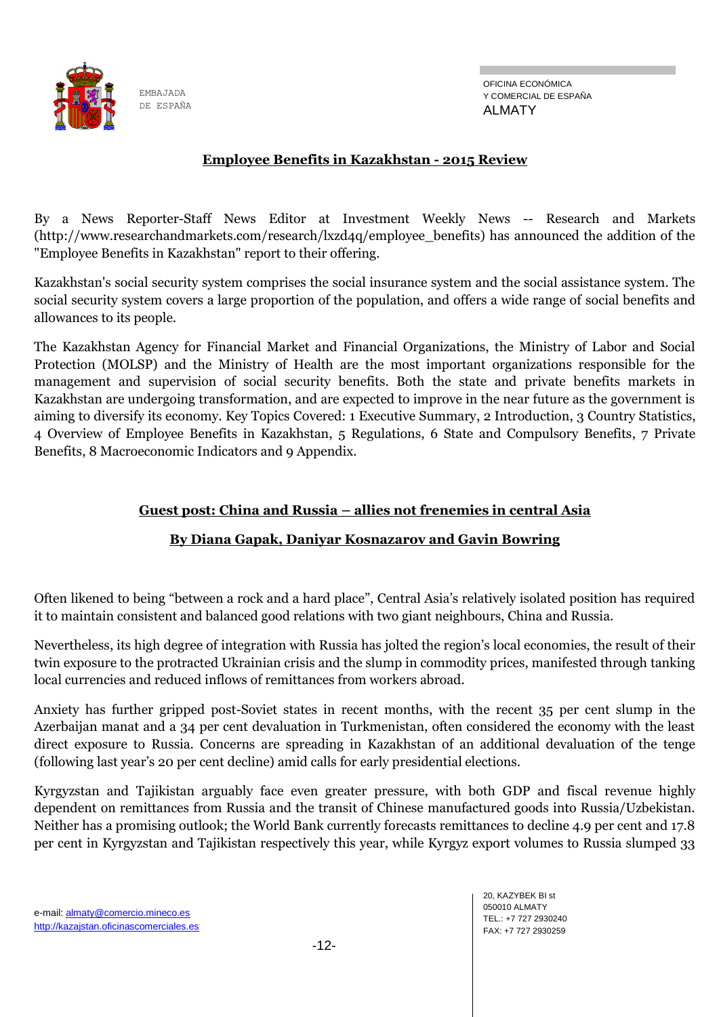![](_page_11_Picture_0.jpeg)

OFICINA ECONÓMICA Y COMERCIAL DE ESPAÑA ALMATY

### **Employee Benefits in Kazakhstan - 2015 Review**

By a News Reporter-Staff News Editor at Investment Weekly News -- Research and Markets (http://www.researchandmarkets.com/research/lxzd4q/employee\_benefits) has announced the addition of the "Employee Benefits in Kazakhstan" report to their offering.

Kazakhstan's social security system comprises the social insurance system and the social assistance system. The social security system covers a large proportion of the population, and offers a wide range of social benefits and allowances to its people.

The Kazakhstan Agency for Financial Market and Financial Organizations, the Ministry of Labor and Social Protection (MOLSP) and the Ministry of Health are the most important organizations responsible for the management and supervision of social security benefits. Both the state and private benefits markets in Kazakhstan are undergoing transformation, and are expected to improve in the near future as the government is aiming to diversify its economy. Key Topics Covered: 1 Executive Summary, 2 Introduction, 3 Country Statistics, 4 Overview of Employee Benefits in Kazakhstan, 5 Regulations, 6 State and Compulsory Benefits, 7 Private Benefits, 8 Macroeconomic Indicators and 9 Appendix.

#### **Guest post: China and Russia – allies not frenemies in central Asia**

#### **By Diana Gapak, Daniyar Kosnazarov and Gavin Bowring**

Often likened to being "between a rock and a hard place", Central Asia's relatively isolated position has required it to maintain consistent and balanced good relations with two giant neighbours, China and Russia.

Nevertheless, its high degree of integration with Russia has jolted the region's local economies, the result of their twin exposure to the protracted Ukrainian crisis and the slump in commodity prices, manifested through tanking local currencies and reduced inflows of remittances from workers abroad.

Anxiety has further gripped post-Soviet states in recent months, with the recent 35 per cent slump in the Azerbaijan manat and a 34 per cent devaluation in Turkmenistan, often considered the economy with the least direct exposure to Russia. Concerns are spreading in Kazakhstan of an additional devaluation of the tenge (following last year's 20 per cent decline) amid calls for early presidential elections.

Kyrgyzstan and Tajikistan arguably face even greater pressure, with both GDP and fiscal revenue highly dependent on remittances from Russia and the transit of Chinese manufactured goods into Russia/Uzbekistan. Neither has a promising outlook; the World Bank currently forecasts remittances to decline 4.9 per cent and 17.8 per cent in Kyrgyzstan and Tajikistan respectively this year, while Kyrgyz export volumes to Russia slumped 33

20, KAZYBEK BI st 050010 ALMATY TEL.: +7 727 2930240 FAX: +7 727 2930259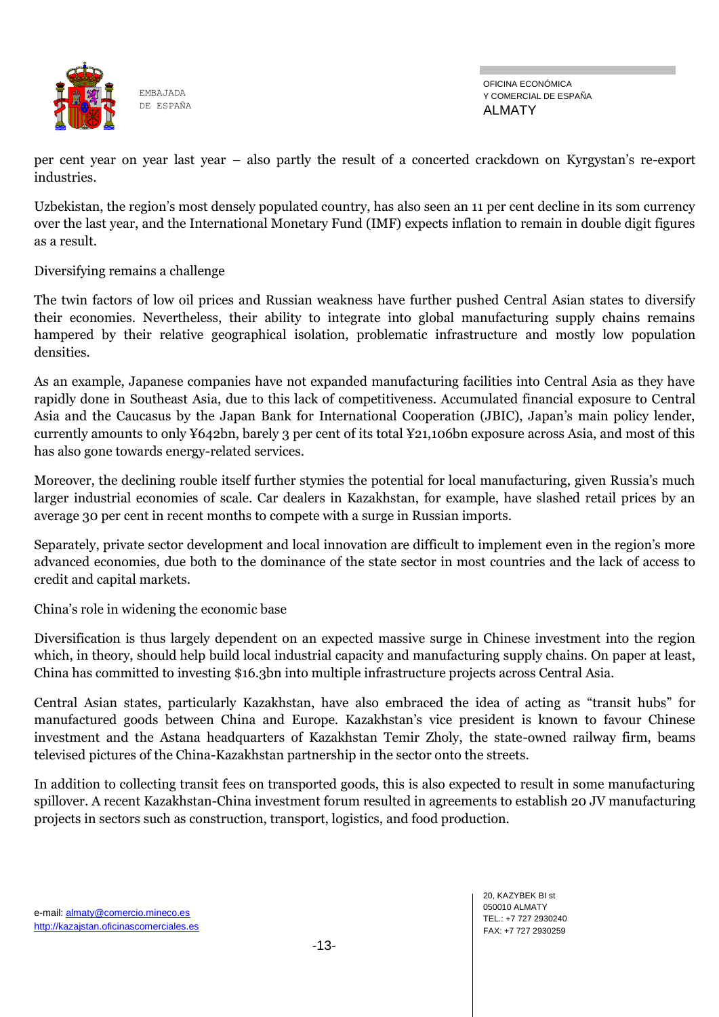![](_page_12_Picture_0.jpeg)

per cent year on year last year – also partly the result of a concerted crackdown on Kyrgystan's re-export industries.

Uzbekistan, the region's most densely populated country, has also seen an 11 per cent decline in its som currency over the last year, and the International Monetary Fund (IMF) expects inflation to remain in double digit figures as a result.

Diversifying remains a challenge

The twin factors of low oil prices and Russian weakness have further pushed Central Asian states to diversify their economies. Nevertheless, their ability to integrate into global manufacturing supply chains remains hampered by their relative geographical isolation, problematic infrastructure and mostly low population densities.

As an example, Japanese companies have not expanded manufacturing facilities into Central Asia as they have rapidly done in Southeast Asia, due to this lack of competitiveness. Accumulated financial exposure to Central Asia and the Caucasus by the Japan Bank for International Cooperation (JBIC), Japan's main policy lender, currently amounts to only ¥642bn, barely 3 per cent of its total ¥21,106bn exposure across Asia, and most of this has also gone towards energy-related services.

Moreover, the declining rouble itself further stymies the potential for local manufacturing, given Russia's much larger industrial economies of scale. Car dealers in Kazakhstan, for example, have slashed retail prices by an average 30 per cent in recent months to compete with a surge in Russian imports.

Separately, private sector development and local innovation are difficult to implement even in the region's more advanced economies, due both to the dominance of the state sector in most countries and the lack of access to credit and capital markets.

China's role in widening the economic base

Diversification is thus largely dependent on an expected massive surge in Chinese investment into the region which, in theory, should help build local industrial capacity and manufacturing supply chains. On paper at least, China has committed to investing \$16.3bn into multiple infrastructure projects across Central Asia.

Central Asian states, particularly Kazakhstan, have also embraced the idea of acting as "transit hubs" for manufactured goods between China and Europe. Kazakhstan's vice president is known to favour Chinese investment and the Astana headquarters of Kazakhstan Temir Zholy, the state-owned railway firm, beams televised pictures of the China-Kazakhstan partnership in the sector onto the streets.

In addition to collecting transit fees on transported goods, this is also expected to result in some manufacturing spillover. A recent Kazakhstan-China investment forum resulted in agreements to establish 20 JV manufacturing projects in sectors such as construction, transport, logistics, and food production.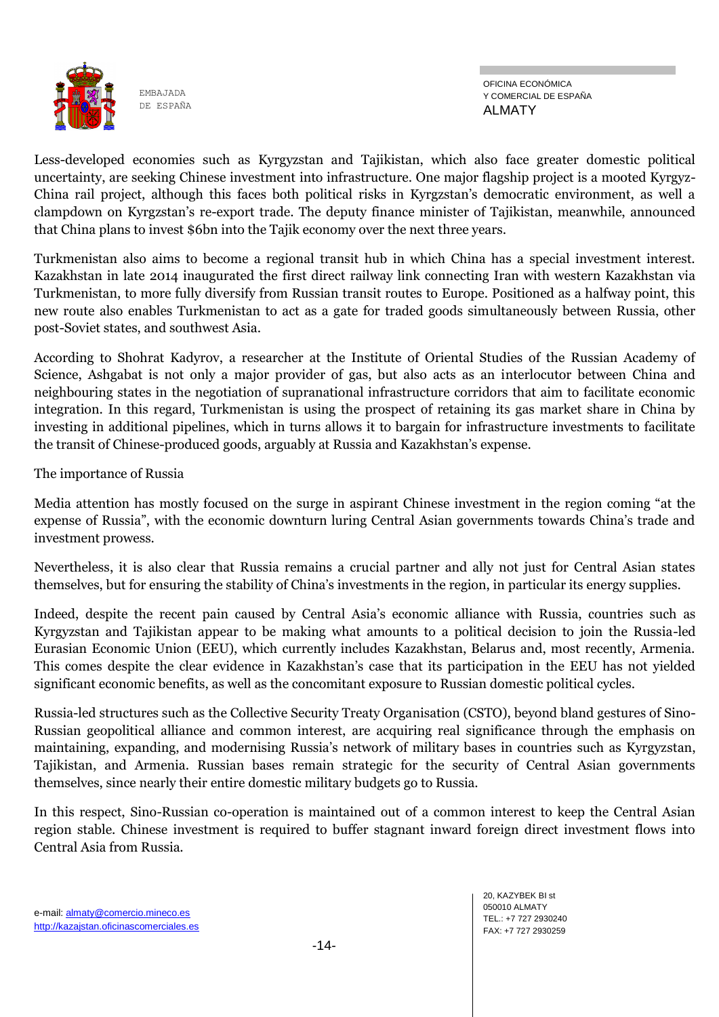![](_page_13_Picture_0.jpeg)

Less-developed economies such as Kyrgyzstan and Tajikistan, which also face greater domestic political uncertainty, are seeking Chinese investment into infrastructure. One major flagship project is a mooted Kyrgyz-China rail project, although this faces both political risks in Kyrgzstan's democratic environment, as well a clampdown on Kyrgzstan's re-export trade. The deputy finance minister of Tajikistan, meanwhile, announced that China plans to invest \$6bn into the Tajik economy over the next three years.

Turkmenistan also aims to become a regional transit hub in which China has a special investment interest. Kazakhstan in late 2014 inaugurated the first direct railway link connecting Iran with western Kazakhstan via Turkmenistan, to more fully diversify from Russian transit routes to Europe. Positioned as a halfway point, this new route also enables Turkmenistan to act as a gate for traded goods simultaneously between Russia, other post-Soviet states, and southwest Asia.

According to Shohrat Kadyrov, a researcher at the Institute of Oriental Studies of the Russian Academy of Science, Ashgabat is not only a major provider of gas, but also acts as an interlocutor between China and neighbouring states in the negotiation of supranational infrastructure corridors that aim to facilitate economic integration. In this regard, Turkmenistan is using the prospect of retaining its gas market share in China by investing in additional pipelines, which in turns allows it to bargain for infrastructure investments to facilitate the transit of Chinese-produced goods, arguably at Russia and Kazakhstan's expense.

The importance of Russia

Media attention has mostly focused on the surge in aspirant Chinese investment in the region coming "at the expense of Russia", with the economic downturn luring Central Asian governments towards China's trade and investment prowess.

Nevertheless, it is also clear that Russia remains a crucial partner and ally not just for Central Asian states themselves, but for ensuring the stability of China's investments in the region, in particular its energy supplies.

Indeed, despite the recent pain caused by Central Asia's economic alliance with Russia, countries such as Kyrgyzstan and Tajikistan appear to be making what amounts to a political decision to join the Russia-led Eurasian Economic Union (EEU), which currently includes Kazakhstan, Belarus and, most recently, Armenia. This comes despite the clear evidence in Kazakhstan's case that its participation in the EEU has not yielded significant economic benefits, as well as the concomitant exposure to Russian domestic political cycles.

Russia-led structures such as the Collective Security Treaty Organisation (CSTO), beyond bland gestures of Sino-Russian geopolitical alliance and common interest, are acquiring real significance through the emphasis on maintaining, expanding, and modernising Russia's network of military bases in countries such as Kyrgyzstan, Tajikistan, and Armenia. Russian bases remain strategic for the security of Central Asian governments themselves, since nearly their entire domestic military budgets go to Russia.

In this respect, Sino-Russian co-operation is maintained out of a common interest to keep the Central Asian region stable. Chinese investment is required to buffer stagnant inward foreign direct investment flows into Central Asia from Russia.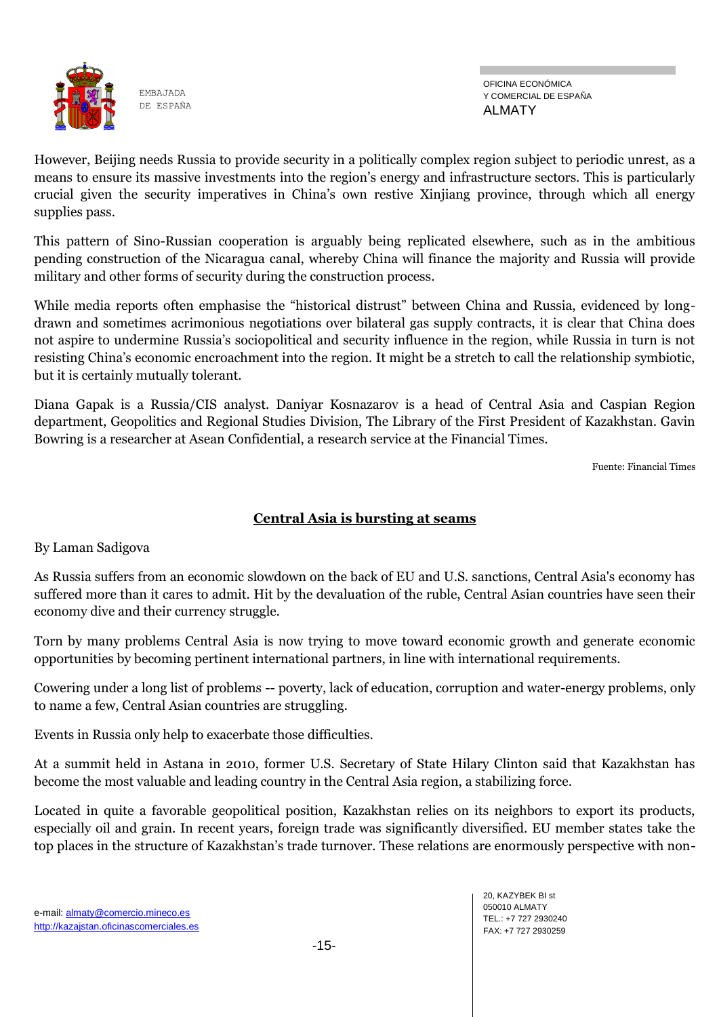![](_page_14_Picture_0.jpeg)

OFICINA ECONÓMICA Y COMERCIAL DE ESPAÑA ALMATY

However, Beijing needs Russia to provide security in a politically complex region subject to periodic unrest, as a means to ensure its massive investments into the region's energy and infrastructure sectors. This is particularly crucial given the security imperatives in China's own restive Xinjiang province, through which all energy supplies pass.

This pattern of Sino-Russian cooperation is arguably being replicated elsewhere, such as in the ambitious pending construction of the Nicaragua canal, whereby China will finance the majority and Russia will provide military and other forms of security during the construction process.

While media reports often emphasise the "historical distrust" between China and Russia, evidenced by longdrawn and sometimes acrimonious negotiations over bilateral gas supply contracts, it is clear that China does not aspire to undermine Russia's sociopolitical and security influence in the region, while Russia in turn is not resisting China's economic encroachment into the region. It might be a stretch to call the relationship symbiotic, but it is certainly mutually tolerant.

Diana Gapak is a Russia/CIS analyst. Daniyar Kosnazarov is a head of Central Asia and Caspian Region department, Geopolitics and Regional Studies Division, The Library of the First President of Kazakhstan. Gavin Bowring is a researcher at Asean Confidential, a research service at the Financial Times.

Fuente: Financial Times

### **Central Asia is bursting at seams**

By Laman Sadigova

As Russia suffers from an economic slowdown on the back of EU and U.S. sanctions, Central Asia's economy has suffered more than it cares to admit. Hit by the devaluation of the ruble, Central Asian countries have seen their economy dive and their currency struggle.

Torn by many problems Central Asia is now trying to move toward economic growth and generate economic opportunities by becoming pertinent international partners, in line with international requirements.

Cowering under a long list of problems -- poverty, lack of education, corruption and water-energy problems, only to name a few, Central Asian countries are struggling.

Events in Russia only help to exacerbate those difficulties.

At a summit held in Astana in 2010, former U.S. Secretary of State Hilary Clinton said that Kazakhstan has become the most valuable and leading country in the Central Asia region, a stabilizing force.

Located in quite a favorable geopolitical position, Kazakhstan relies on its neighbors to export its products, especially oil and grain. In recent years, foreign trade was significantly diversified. EU member states take the top places in the structure of Kazakhstan's trade turnover. These relations are enormously perspective with non-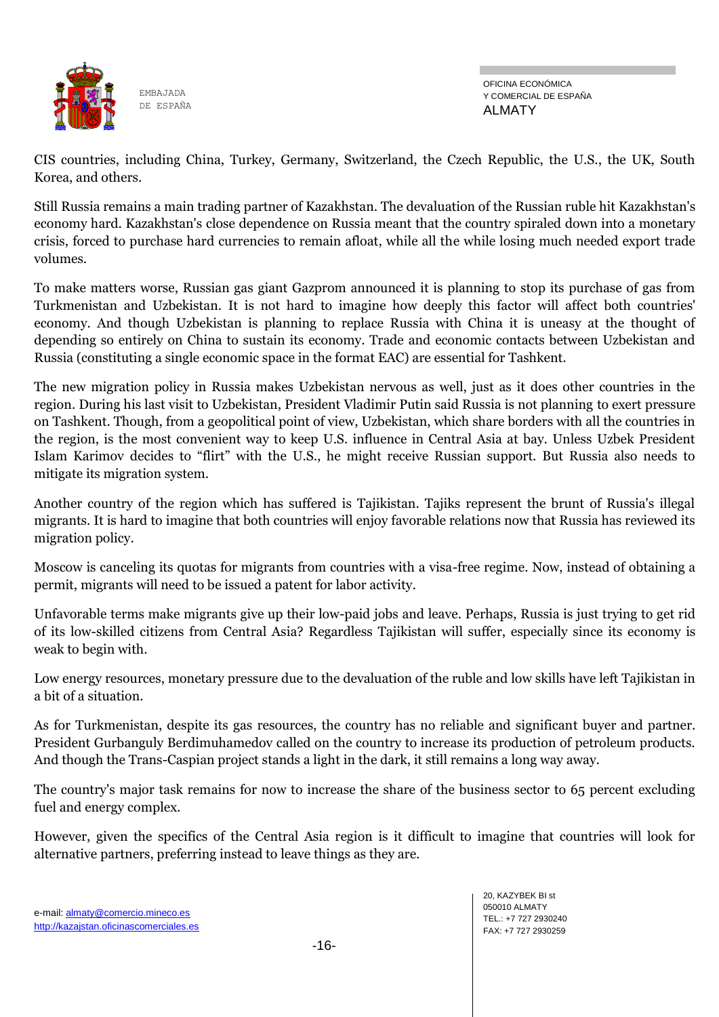![](_page_15_Picture_0.jpeg)

CIS countries, including China, Turkey, Germany, Switzerland, the Czech Republic, the U.S., the UK, South Korea, and others.

Still Russia remains a main trading partner of Kazakhstan. The devaluation of the Russian ruble hit Kazakhstan's economy hard. Kazakhstan's close dependence on Russia meant that the country spiraled down into a monetary crisis, forced to purchase hard currencies to remain afloat, while all the while losing much needed export trade volumes.

To make matters worse, Russian gas giant Gazprom announced it is planning to stop its purchase of gas from Turkmenistan and Uzbekistan. It is not hard to imagine how deeply this factor will affect both countries' economy. And though Uzbekistan is planning to replace Russia with China it is uneasy at the thought of depending so entirely on China to sustain its economy. Trade and economic contacts between Uzbekistan and Russia (constituting a single economic space in the format EAC) are essential for Tashkent.

The new migration policy in Russia makes Uzbekistan nervous as well, just as it does other countries in the region. During his last visit to Uzbekistan, President Vladimir Putin said Russia is not planning to exert pressure on Tashkent. Though, from a geopolitical point of view, Uzbekistan, which share borders with all the countries in the region, is the most convenient way to keep U.S. influence in Central Asia at bay. Unless Uzbek President Islam Karimov decides to "flirt" with the U.S., he might receive Russian support. But Russia also needs to mitigate its migration system.

Another country of the region which has suffered is Tajikistan. Tajiks represent the brunt of Russia's illegal migrants. It is hard to imagine that both countries will enjoy favorable relations now that Russia has reviewed its migration policy.

Moscow is canceling its quotas for migrants from countries with a visa-free regime. Now, instead of obtaining a permit, migrants will need to be issued a patent for labor activity.

Unfavorable terms make migrants give up their low-paid jobs and leave. Perhaps, Russia is just trying to get rid of its low-skilled citizens from Central Asia? Regardless Tajikistan will suffer, especially since its economy is weak to begin with.

Low energy resources, monetary pressure due to the devaluation of the ruble and low skills have left Tajikistan in a bit of a situation.

As for Turkmenistan, despite its gas resources, the country has no reliable and significant buyer and partner. President Gurbanguly Berdimuhamedov called on the country to increase its production of petroleum products. And though the Trans-Caspian project stands a light in the dark, it still remains a long way away.

The country's major task remains for now to increase the share of the business sector to 65 percent excluding fuel and energy complex.

However, given the specifics of the Central Asia region is it difficult to imagine that countries will look for alternative partners, preferring instead to leave things as they are.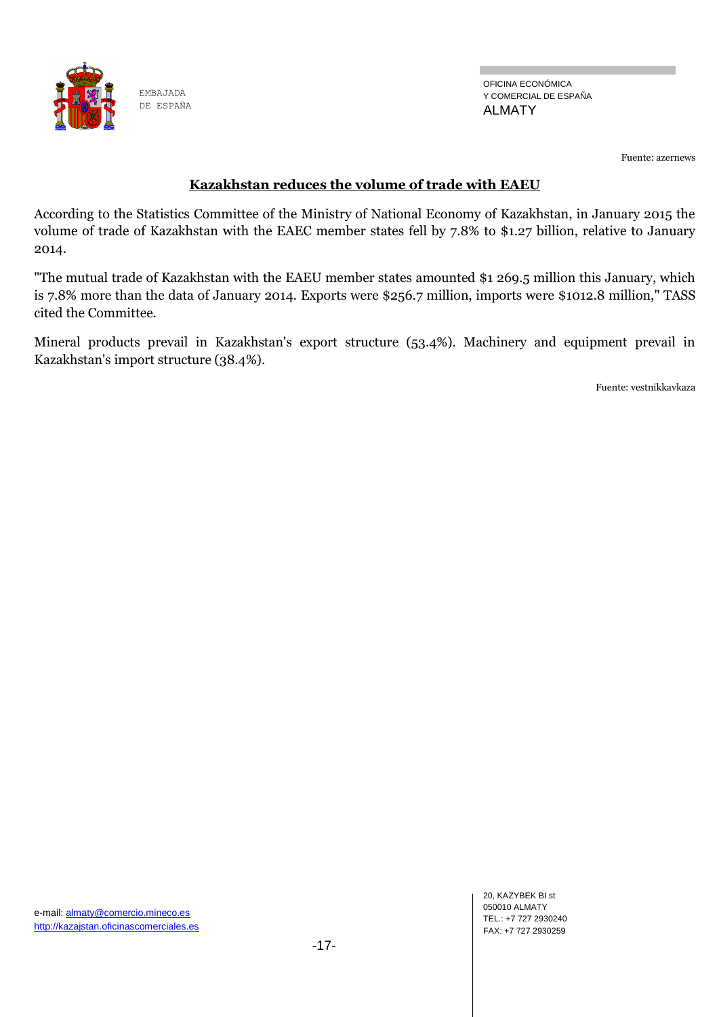![](_page_16_Picture_0.jpeg)

Fuente: azernews

#### **Kazakhstan reduces the volume of trade with EAEU**

According to the Statistics Committee of the Ministry of National Economy of Kazakhstan, in January 2015 the volume of trade of Kazakhstan with the EAEC member states fell by 7.8% to \$1.27 billion, relative to January 2014.

"The mutual trade of Kazakhstan with the EAEU member states amounted \$1 269.5 million this January, which is 7.8% more than the data of January 2014. Exports were \$256.7 million, imports were \$1012.8 million," TASS cited the Committee.

Mineral products prevail in Kazakhstan's export structure (53.4%). Machinery and equipment prevail in Kazakhstan's import structure (38.4%).

Fuente: vestnikkavkaza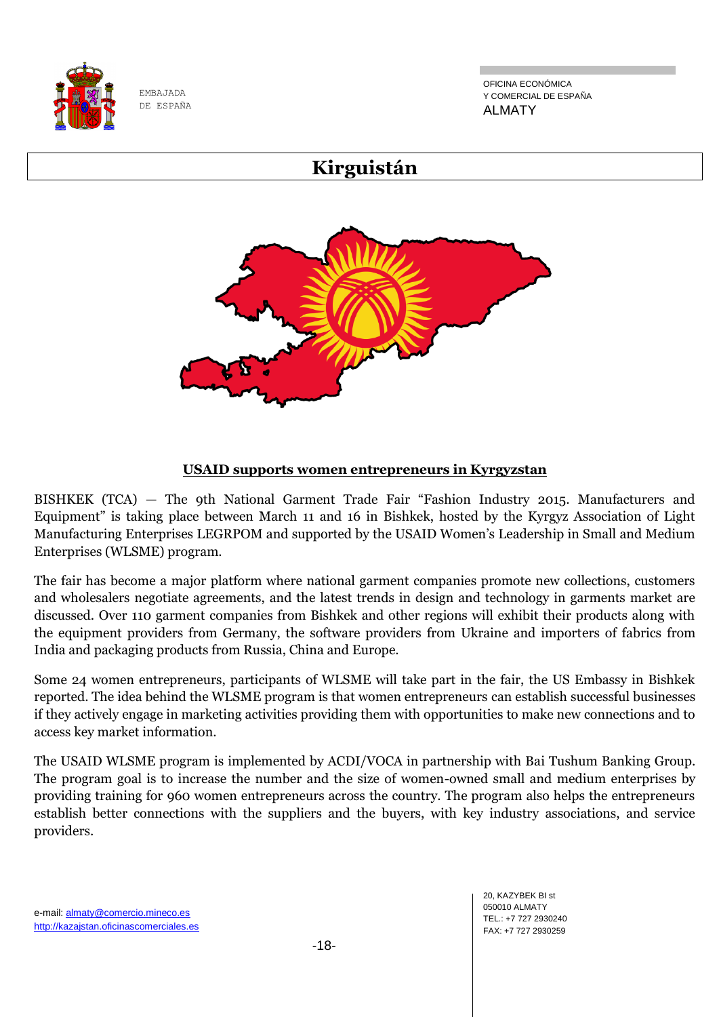![](_page_17_Picture_0.jpeg)

OFICINA ECONÓMICA Y COMERCIAL DE ESPAÑA ALMATY

# **Kirguistán**

![](_page_17_Picture_4.jpeg)

#### **USAID supports women entrepreneurs in Kyrgyzstan**

BISHKEK (TCA) — The 9th National Garment Trade Fair "Fashion Industry 2015. Manufacturers and Equipment" is taking place between March 11 and 16 in Bishkek, hosted by the Kyrgyz Association of Light Manufacturing Enterprises LEGRPOM and supported by the USAID Women's Leadership in Small and Medium Enterprises (WLSME) program.

The fair has become a major platform where national garment companies promote new collections, customers and wholesalers negotiate agreements, and the latest trends in design and technology in garments market are discussed. Over 110 garment companies from Bishkek and other regions will exhibit their products along with the equipment providers from Germany, the software providers from Ukraine and importers of fabrics from India and packaging products from Russia, China and Europe.

Some 24 women entrepreneurs, participants of WLSME will take part in the fair, the US Embassy in Bishkek reported. The idea behind the WLSME program is that women entrepreneurs can establish successful businesses if they actively engage in marketing activities providing them with opportunities to make new connections and to access key market information.

The USAID WLSME program is implemented by ACDI/VOCA in partnership with Bai Tushum Banking Group. The program goal is to increase the number and the size of women-owned small and medium enterprises by providing training for 960 women entrepreneurs across the country. The program also helps the entrepreneurs establish better connections with the suppliers and the buyers, with key industry associations, and service providers.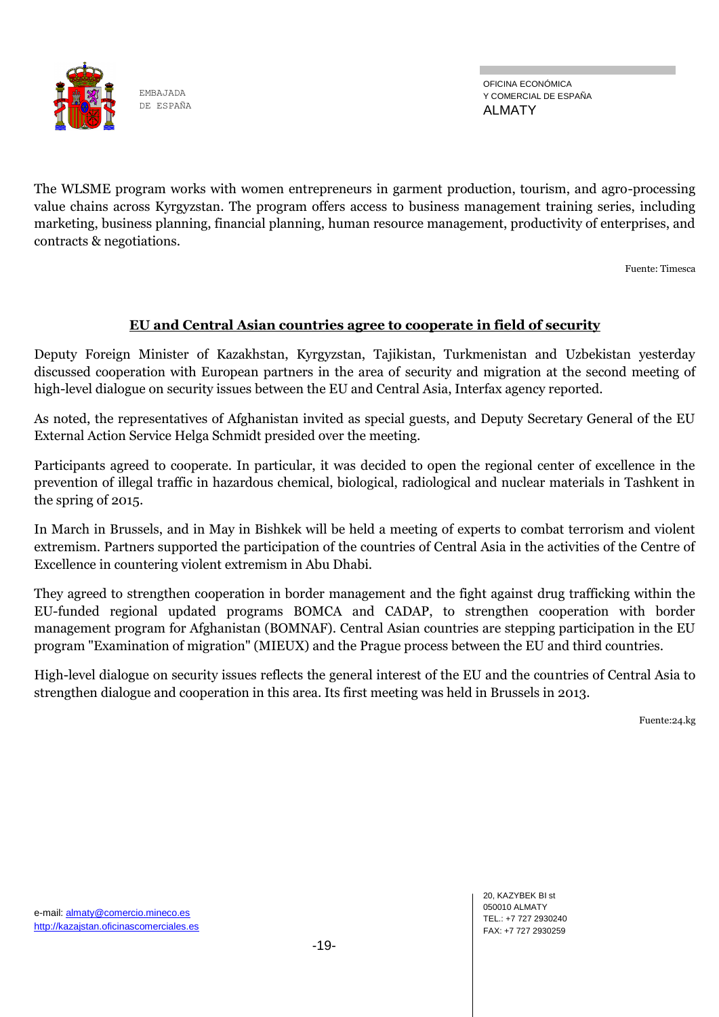![](_page_18_Picture_0.jpeg)

The WLSME program works with women entrepreneurs in garment production, tourism, and agro-processing value chains across Kyrgyzstan. The program offers access to business management training series, including marketing, business planning, financial planning, human resource management, productivity of enterprises, and contracts & negotiations.

Fuente: Timesca

#### **EU and Central Asian countries agree to cooperate in field of security**

Deputy Foreign Minister of Kazakhstan, Kyrgyzstan, Tajikistan, Turkmenistan and Uzbekistan yesterday discussed cooperation with European partners in the area of security and migration at the second meeting of high-level dialogue on security issues between the EU and Central Asia, Interfax agency reported.

As noted, the representatives of Afghanistan invited as special guests, and Deputy Secretary General of the EU External Action Service Helga Schmidt presided over the meeting.

Participants agreed to cooperate. In particular, it was decided to open the regional center of excellence in the prevention of illegal traffic in hazardous chemical, biological, radiological and nuclear materials in Tashkent in the spring of 2015.

In March in Brussels, and in May in Bishkek will be held a meeting of experts to combat terrorism and violent extremism. Partners supported the participation of the countries of Central Asia in the activities of the Centre of Excellence in countering violent extremism in Abu Dhabi.

They agreed to strengthen cooperation in border management and the fight against drug trafficking within the EU-funded regional updated programs BOMCA and CADAP, to strengthen cooperation with border management program for Afghanistan (BOMNAF). Central Asian countries are stepping participation in the EU program "Examination of migration" (MIEUX) and the Prague process between the EU and third countries.

High-level dialogue on security issues reflects the general interest of the EU and the countries of Central Asia to strengthen dialogue and cooperation in this area. Its first meeting was held in Brussels in 2013.

Fuente:24.kg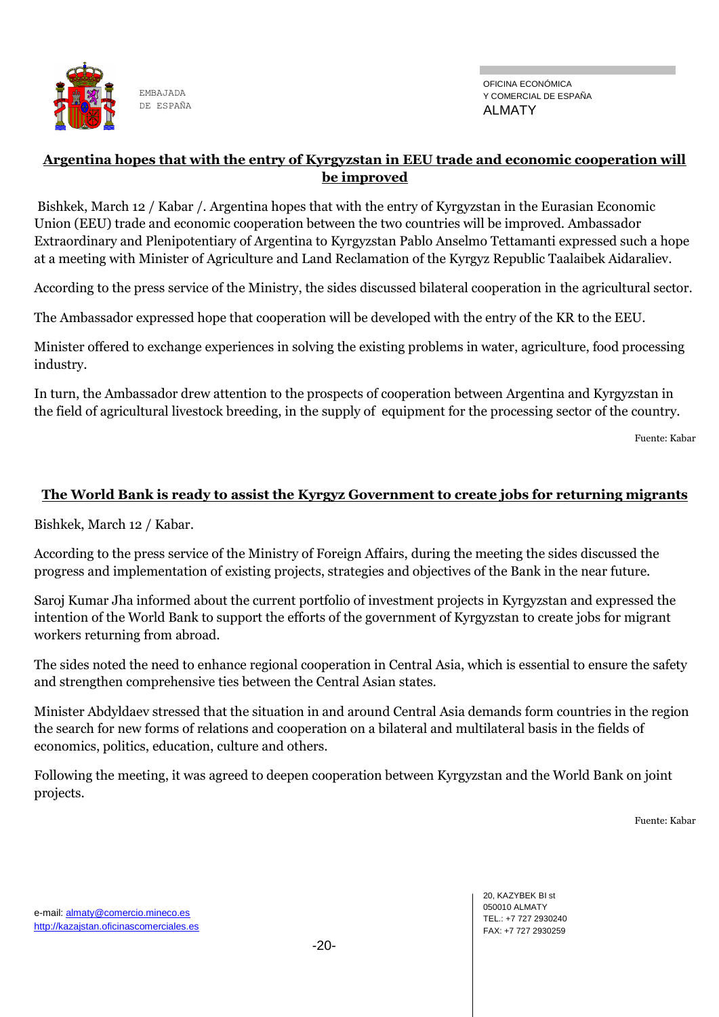![](_page_19_Picture_0.jpeg)

#### **Argentina hopes that with the entry of Kyrgyzstan in EEU trade and economic cooperation will be improved**

Bishkek, March 12 / Kabar /. Argentina hopes that with the entry of Kyrgyzstan in the Eurasian Economic Union (EEU) trade and economic cooperation between the two countries will be improved. Ambassador Extraordinary and Plenipotentiary of Argentina to Kyrgyzstan Pablo Anselmo Tettamanti expressed such a hope at a meeting with Minister of Agriculture and Land Reclamation of the Kyrgyz Republic Taalaibek Aidaraliev.

According to the press service of the Ministry, the sides discussed bilateral cooperation in the agricultural sector.

The Ambassador expressed hope that cooperation will be developed with the entry of the KR to the EEU.

Minister offered to exchange experiences in solving the existing problems in water, agriculture, food processing industry.

In turn, the Ambassador drew attention to the prospects of cooperation between Argentina and Kyrgyzstan in the field of agricultural livestock breeding, in the supply of equipment for the processing sector of the country.

Fuente: Kabar

#### **The World Bank is ready to assist the Kyrgyz Government to create jobs for returning migrants**

Bishkek, March 12 / Kabar.

According to the press service of the Ministry of Foreign Affairs, during the meeting the sides discussed the progress and implementation of existing projects, strategies and objectives of the Bank in the near future.

Saroj Kumar Jha informed about the current portfolio of investment projects in Kyrgyzstan and expressed the intention of the World Bank to support the efforts of the government of Kyrgyzstan to create jobs for migrant workers returning from abroad.

The sides noted the need to enhance regional cooperation in Central Asia, which is essential to ensure the safety and strengthen comprehensive ties between the Central Asian states.

Minister Abdyldaev stressed that the situation in and around Central Asia demands form countries in the region the search for new forms of relations and cooperation on a bilateral and multilateral basis in the fields of economics, politics, education, culture and others.

Following the meeting, it was agreed to deepen cooperation between Kyrgyzstan and the World Bank on joint projects.

Fuente: Kabar

20, KAZYBEK BI st 050010 ALMATY TEL.: +7 727 2930240 FAX: +7 727 2930259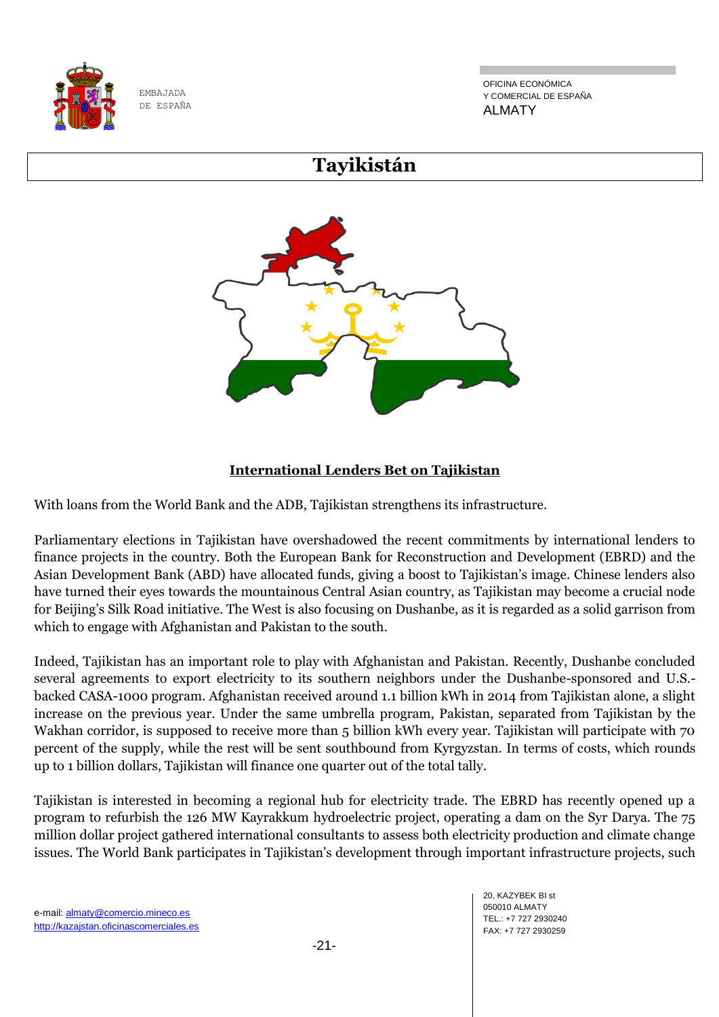![](_page_20_Picture_0.jpeg)

OFICINA ECONÓMICA Y COMERCIAL DE ESPAÑA ALMATY

## **Tayikistán**

![](_page_20_Figure_4.jpeg)

### **International Lenders Bet on Tajikistan**

With loans from the World Bank and the ADB, Tajikistan strengthens its infrastructure.

Parliamentary elections in Tajikistan have overshadowed the recent commitments by international lenders to finance projects in the country. Both the European Bank for Reconstruction and Development (EBRD) and the Asian Development Bank (ABD) have allocated funds, giving a boost to Tajikistan's image. Chinese lenders also have turned their eyes towards the mountainous Central Asian country, as Tajikistan may become a crucial node for Beijing's Silk Road initiative. The West is also focusing on Dushanbe, as it is regarded as a solid garrison from which to engage with Afghanistan and Pakistan to the south.

Indeed, Tajikistan has an important role to play with Afghanistan and Pakistan. Recently, Dushanbe concluded several agreements to export electricity to its southern neighbors under the Dushanbe-sponsored and U.S. backed CASA-1000 program. Afghanistan received around 1.1 billion kWh in 2014 from Tajikistan alone, a slight increase on the previous year. Under the same umbrella program, Pakistan, separated from Tajikistan by the Wakhan corridor, is supposed to receive more than 5 billion kWh every year. Tajikistan will participate with 70 percent of the supply, while the rest will be sent southbound from Kyrgyzstan. In terms of costs, which rounds up to 1 billion dollars, Tajikistan will finance one quarter out of the total tally.

Tajikistan is interested in becoming a regional hub for electricity trade. The EBRD has recently opened up a program to refurbish the 126 MW Kayrakkum hydroelectric project, operating a dam on the Syr Darya. The 75 million dollar project gathered international consultants to assess both electricity production and climate change issues. The World Bank participates in Tajikistan's development through important infrastructure projects, such

20, KAZYBEK BI st 050010 ALMATY TEL.: +7 727 2930240 FAX: +7 727 2930259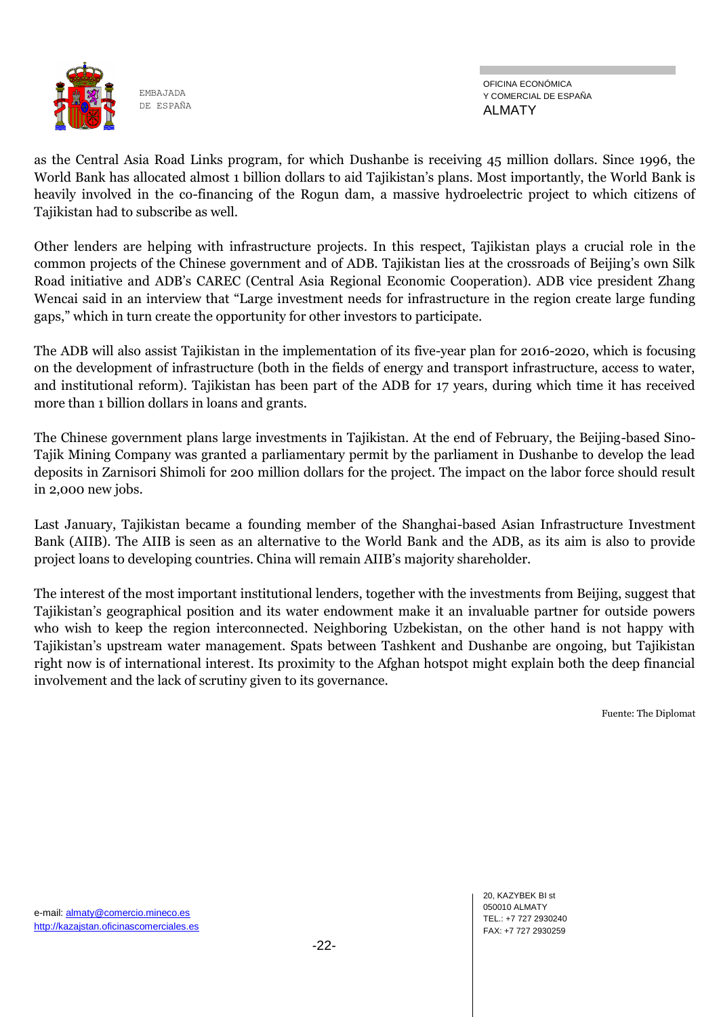![](_page_21_Picture_0.jpeg)

OFICINA ECONÓMICA Y COMERCIAL DE ESPAÑA ALMATY

as the Central Asia Road Links program, for which Dushanbe is receiving 45 million dollars. Since 1996, the World Bank has allocated almost 1 billion dollars to aid Tajikistan's plans. Most importantly, the World Bank is heavily involved in the co-financing of the Rogun dam, a massive hydroelectric project to which citizens of Tajikistan had to subscribe as well.

Other lenders are helping with infrastructure projects. In this respect, Tajikistan plays a crucial role in the common projects of the Chinese government and of ADB. Tajikistan lies at the crossroads of Beijing's own Silk Road initiative and ADB's CAREC (Central Asia Regional Economic Cooperation). ADB vice president Zhang Wencai said in an interview that "Large investment needs for infrastructure in the region create large funding gaps," which in turn create the opportunity for other investors to participate.

The ADB will also assist Tajikistan in the implementation of its five-year plan for 2016-2020, which is focusing on the development of infrastructure (both in the fields of energy and transport infrastructure, access to water, and institutional reform). Tajikistan has been part of the ADB for 17 years, during which time it has received more than 1 billion dollars in loans and grants.

The Chinese government plans large investments in Tajikistan. At the end of February, the Beijing-based Sino-Tajik Mining Company was granted a parliamentary permit by the parliament in Dushanbe to develop the lead deposits in Zarnisori Shimoli for 200 million dollars for the project. The impact on the labor force should result in 2,000 new jobs.

Last January, Tajikistan became a founding member of the Shanghai-based Asian Infrastructure Investment Bank (AIIB). The AIIB is seen as an alternative to the World Bank and the ADB, as its aim is also to provide project loans to developing countries. China will remain AIIB's majority shareholder.

The interest of the most important institutional lenders, together with the investments from Beijing, suggest that Tajikistan's geographical position and its water endowment make it an invaluable partner for outside powers who wish to keep the region interconnected. Neighboring Uzbekistan, on the other hand is not happy with Tajikistan's upstream water management. Spats between Tashkent and Dushanbe are ongoing, but Tajikistan right now is of international interest. Its proximity to the Afghan hotspot might explain both the deep financial involvement and the lack of scrutiny given to its governance.

Fuente: The Diplomat

20, KAZYBEK BI st 050010 ALMATY TEL.: +7 727 2930240 FAX: +7 727 2930259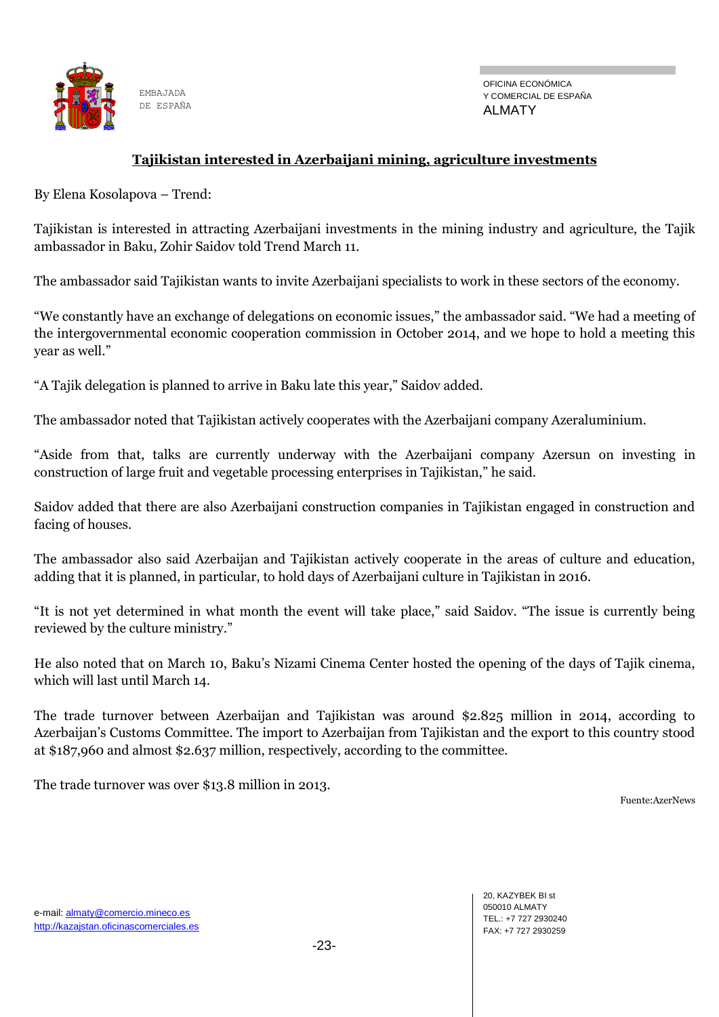![](_page_22_Picture_0.jpeg)

#### **Tajikistan interested in Azerbaijani mining, agriculture investments**

By Elena Kosolapova – Trend:

Tajikistan is interested in attracting Azerbaijani investments in the mining industry and agriculture, the Tajik ambassador in Baku, Zohir Saidov told Trend March 11.

The ambassador said Tajikistan wants to invite Azerbaijani specialists to work in these sectors of the economy.

"We constantly have an exchange of delegations on economic issues," the ambassador said. "We had a meeting of the intergovernmental economic cooperation commission in October 2014, and we hope to hold a meeting this year as well."

"A Tajik delegation is planned to arrive in Baku late this year," Saidov added.

The ambassador noted that Tajikistan actively cooperates with the Azerbaijani company Azeraluminium.

"Aside from that, talks are currently underway with the Azerbaijani company Azersun on investing in construction of large fruit and vegetable processing enterprises in Tajikistan," he said.

Saidov added that there are also Azerbaijani construction companies in Tajikistan engaged in construction and facing of houses.

The ambassador also said Azerbaijan and Tajikistan actively cooperate in the areas of culture and education, adding that it is planned, in particular, to hold days of Azerbaijani culture in Tajikistan in 2016.

"It is not yet determined in what month the event will take place," said Saidov. "The issue is currently being reviewed by the culture ministry."

He also noted that on March 10, Baku's Nizami Cinema Center hosted the opening of the days of Tajik cinema, which will last until March 14.

The trade turnover between Azerbaijan and Tajikistan was around \$2.825 million in 2014, according to Azerbaijan's Customs Committee. The import to Azerbaijan from Tajikistan and the export to this country stood at \$187,960 and almost \$2.637 million, respectively, according to the committee.

The trade turnover was over \$13.8 million in 2013.

Fuente:AzerNews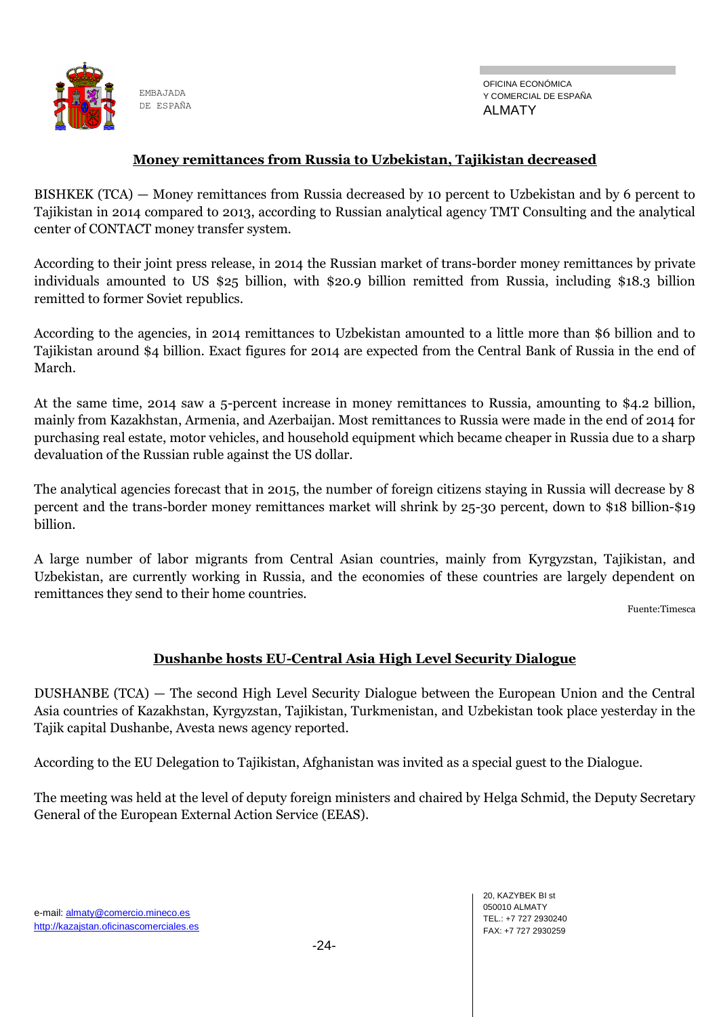![](_page_23_Picture_0.jpeg)

#### **Money remittances from Russia to Uzbekistan, Tajikistan decreased**

BISHKEK (TCA) — Money remittances from Russia decreased by 10 percent to Uzbekistan and by 6 percent to Tajikistan in 2014 compared to 2013, according to Russian analytical agency TMT Consulting and the analytical center of CONTACT money transfer system.

According to their joint press release, in 2014 the Russian market of trans-border money remittances by private individuals amounted to US \$25 billion, with \$20.9 billion remitted from Russia, including \$18.3 billion remitted to former Soviet republics.

According to the agencies, in 2014 remittances to Uzbekistan amounted to a little more than \$6 billion and to Tajikistan around \$4 billion. Exact figures for 2014 are expected from the Central Bank of Russia in the end of March.

At the same time, 2014 saw a 5-percent increase in money remittances to Russia, amounting to \$4.2 billion, mainly from Kazakhstan, Armenia, and Azerbaijan. Most remittances to Russia were made in the end of 2014 for purchasing real estate, motor vehicles, and household equipment which became cheaper in Russia due to a sharp devaluation of the Russian ruble against the US dollar.

The analytical agencies forecast that in 2015, the number of foreign citizens staying in Russia will decrease by 8 percent and the trans-border money remittances market will shrink by 25-30 percent, down to \$18 billion-\$19 billion.

A large number of labor migrants from Central Asian countries, mainly from Kyrgyzstan, Tajikistan, and Uzbekistan, are currently working in Russia, and the economies of these countries are largely dependent on remittances they send to their home countries.

Fuente:Timesca

#### **Dushanbe hosts EU-Central Asia High Level Security Dialogue**

DUSHANBE (TCA) — The second High Level Security Dialogue between the European Union and the Central Asia countries of Kazakhstan, Kyrgyzstan, Tajikistan, Turkmenistan, and Uzbekistan took place yesterday in the Tajik capital Dushanbe, Avesta news agency reported.

According to the EU Delegation to Tajikistan, Afghanistan was invited as a special guest to the Dialogue.

The meeting was held at the level of deputy foreign ministers and chaired by Helga Schmid, the Deputy Secretary General of the European External Action Service (EEAS).